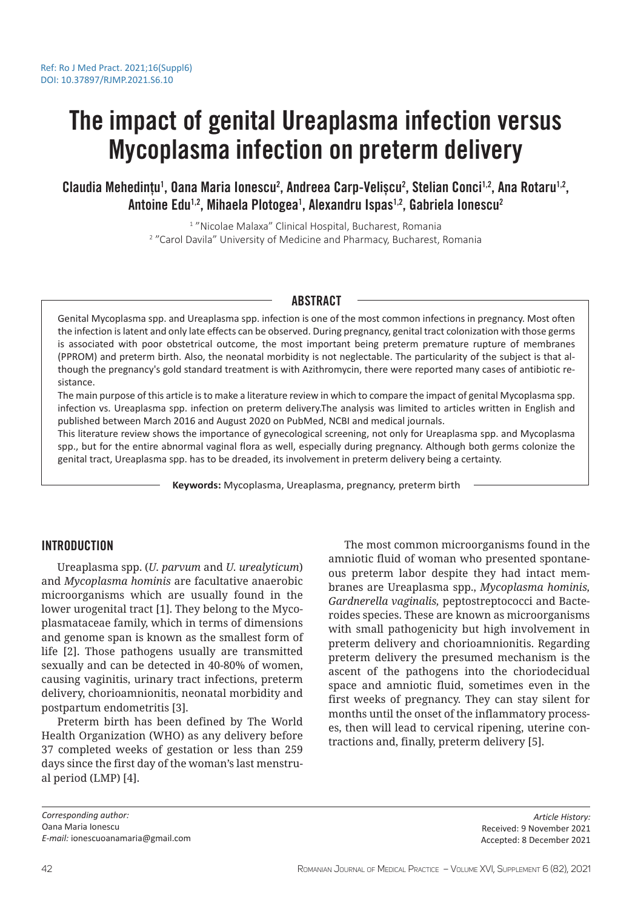# The impact of genital Ureaplasma infection versus Mycoplasma infection on preterm delivery

Claudia Mehedintu<sup>1</sup>, Oana Maria Ionescu<sup>2</sup>, Andreea Carp-Veliscu<sup>2</sup>, Stelian Conci<sup>1,2</sup>, Ana Rotaru<sup>1,2</sup>, Antoine Edu<sup>1,2</sup>, Mihaela Plotogea<sup>1</sup>, Alexandru Ispas<sup>1,2</sup>, Gabriela Ionescu<sup>2</sup>

> 1 "Nicolae Malaxa" Clinical Hospital, Bucharest, Romania 2 "Carol Davila" University of Medicine and Pharmacy, Bucharest, Romania

## ABSTRACT

Genital Mycoplasma spp. and Ureaplasma spp. infection is one of the most common infections in pregnancy. Most often the infection is latent and only late effects can be observed. During pregnancy, genital tract colonization with those germs is associated with poor obstetrical outcome, the most important being preterm premature rupture of membranes (PPROM) and preterm birth. Also, the neonatal morbidity is not neglectable. The particularity of the subject is that although the pregnancy's gold standard treatment is with Azithromycin, there were reported many cases of antibiotic resistance.

The main purpose of this article is to make a literature review in which to compare the impact of genital Mycoplasma spp. infection vs. Ureaplasma spp. infection on preterm delivery.The analysis was limited to articles written in English and published between March 2016 and August 2020 on PubMed, NCBI and medical journals.

This literature review shows the importance of gynecological screening, not only for Ureaplasma spp. and Mycoplasma spp., but for the entire abnormal vaginal flora as well, especially during pregnancy. Although both germs colonize the genital tract, Ureaplasma spp. has to be dreaded, its involvement in preterm delivery being a certainty.

**Keywords:** Mycoplasma, Ureaplasma, pregnancy, preterm birth

## INTRODUCTION

Ureaplasma spp. (*U. parvum* and *U. urealyticum*) and *Mycoplasma hominis* are facultative anaerobic microorganisms which are usually found in the lower urogenital tract [1]. They belong to the Mycoplasmataceae family, which in terms of dimensions and genome span is known as the smallest form of life [2]. Those pathogens usually are transmitted sexually and can be detected in 40-80% of women, causing vaginitis, urinary tract infections, preterm delivery, chorioamnionitis, neonatal morbidity and postpartum endometritis [3].

Preterm birth has been defined by The World Health Organization (WHO) as any delivery before 37 completed weeks of gestation or less than 259 days since the first day of the woman's last menstrual period (LMP) [4].

The most common microorganisms found in the amniotic fluid of woman who presented spontaneous preterm labor despite they had intact membranes are Ureaplasma spp., *Mycoplasma hominis, Gardnerella vaginalis,* peptostreptococci and Bacteroides species. These are known as microorganisms with small pathogenicity but high involvement in preterm delivery and chorioamnionitis. Regarding preterm delivery the presumed mechanism is the ascent of the pathogens into the choriodecidual space and amniotic fluid, sometimes even in the first weeks of pregnancy. They can stay silent for months until the onset of the inflammatory processes, then will lead to cervical ripening, uterine contractions and, finally, preterm delivery [5].

*Corresponding author:* Oana Maria Ionescu *E-mail:* ionescuoanamaria@gmail.com

*Article History:* Received: 9 November 2021 Accepted: 8 December 2021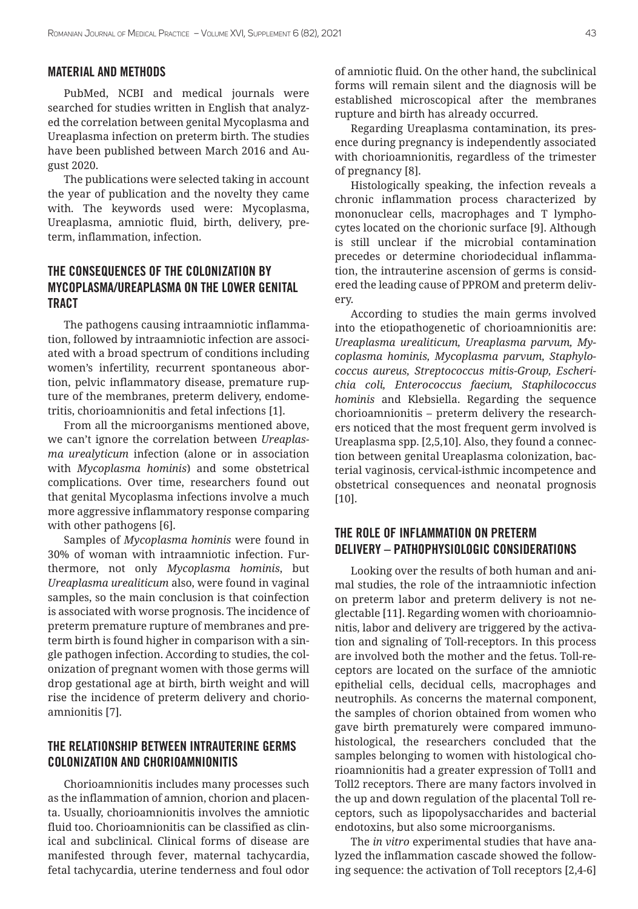#### MATERIAL AND METHODS

PubMed, NCBI and medical journals were searched for studies written in English that analyzed the correlation between genital Mycoplasma and Ureaplasma infection on preterm birth. The studies have been published between March 2016 and August 2020.

The publications were selected taking in account the year of publication and the novelty they came with. The keywords used were: Mycoplasma, Ureaplasma, amniotic fluid, birth, delivery, preterm, inflammation, infection.

# THE CONSEQUENCES OF THE COLONIZATION BY MYCOPLASMA/UREAPLASMA ON THE LOWER GENITAL TRACT

The pathogens causing intraamniotic inflammation, followed by intraamniotic infection are associated with a broad spectrum of conditions including women's infertility, recurrent spontaneous abortion, pelvic inflammatory disease, premature rupture of the membranes, preterm delivery, endometritis, chorioamnionitis and fetal infections [1].

From all the microorganisms mentioned above, we can't ignore the correlation between *Ureaplasma urealyticum* infection (alone or in association with *Mycoplasma hominis*) and some obstetrical complications. Over time, researchers found out that genital Mycoplasma infections involve a much more aggressive inflammatory response comparing with other pathogens [6].

Samples of *Mycoplasma hominis* were found in 30% of woman with intraamniotic infection. Furthermore, not only *Mycoplasma hominis*, but *Ureaplasma urealiticum* also, were found in vaginal samples, so the main conclusion is that coinfection is associated with worse prognosis. The incidence of preterm premature rupture of membranes and preterm birth is found higher in comparison with a single pathogen infection. According to studies, the colonization of pregnant women with those germs will drop gestational age at birth, birth weight and will rise the incidence of preterm delivery and chorioamnionitis [7].

# THE RELATIONSHIP BETWEEN INTRAUTERINE GERMS COLONIZATION AND CHORIOAMNIONITIS

Chorioamnionitis includes many processes such as the inflammation of amnion, chorion and placenta. Usually, chorioamnionitis involves the amniotic fluid too. Chorioamnionitis can be classified as clinical and subclinical. Clinical forms of disease are manifested through fever, maternal tachycardia, fetal tachycardia, uterine tenderness and foul odor of amniotic fluid. On the other hand, the subclinical forms will remain silent and the diagnosis will be established microscopical after the membranes rupture and birth has already occurred.

Regarding Ureaplasma contamination, its presence during pregnancy is independently associated with chorioamnionitis, regardless of the trimester of pregnancy [8].

Histologically speaking, the infection reveals a chronic inflammation process characterized by mononuclear cells, macrophages and T lymphocytes located on the chorionic surface [9]. Although is still unclear if the microbial contamination precedes or determine choriodecidual inflammation, the intrauterine ascension of germs is considered the leading cause of PPROM and preterm delivery.

According to studies the main germs involved into the etiopathogenetic of chorioamnionitis are: *Ureaplasma urealiticum, Ureaplasma parvum, Mycoplasma hominis, Mycoplasma parvum, Staphylococcus aureus, Streptococcus mitis-Group, Escherichia coli, Enterococcus faecium, Staphilococcus hominis* and Klebsiella. Regarding the sequence chorioamnionitis – preterm delivery the researchers noticed that the most frequent germ involved is Ureaplasma spp. [2,5,10]. Also, they found a connection between genital Ureaplasma colonization, bacterial vaginosis, cervical-isthmic incompetence and obstetrical consequences and neonatal prognosis [10].

## THE ROLE OF INFLAMMATION ON PRETERM DELIVERY – PATHOPHYSIOLOGIC CONSIDERATIONS

Looking over the results of both human and animal studies, the role of the intraamniotic infection on preterm labor and preterm delivery is not neglectable [11]. Regarding women with chorioamnionitis, labor and delivery are triggered by the activation and signaling of Toll-receptors. In this process are involved both the mother and the fetus. Toll-receptors are located on the surface of the amniotic epithelial cells, decidual cells, macrophages and neutrophils. As concerns the maternal component, the samples of chorion obtained from women who gave birth prematurely were compared immunohistological, the researchers concluded that the samples belonging to women with histological chorioamnionitis had a greater expression of Toll1 and Toll2 receptors. There are many factors involved in the up and down regulation of the placental Toll receptors, such as lipopolysaccharides and bacterial endotoxins, but also some microorganisms.

The *in vitro* experimental studies that have analyzed the inflammation cascade showed the following sequence: the activation of Toll receptors [2,4-6]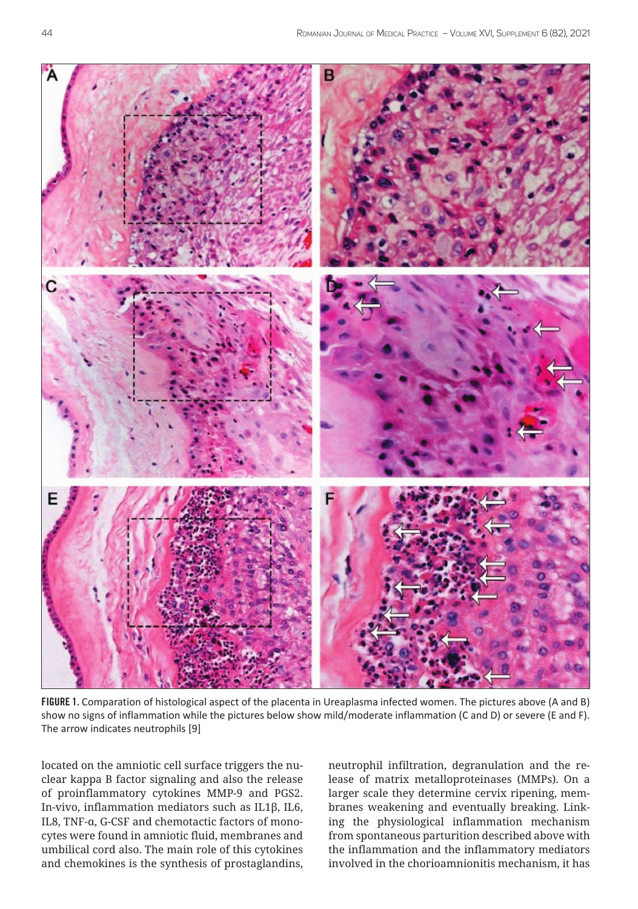

FIGURE 1. Comparation of histological aspect of the placenta in Ureaplasma infected women. The pictures above (A and B) show no signs of inflammation while the pictures below show mild/moderate inflammation (C and D) or severe (E and F). The arrow indicates neutrophils [9]

located on the amniotic cell surface triggers the nuclear kappa B factor signaling and also the release of proinflammatory cytokines MMP-9 and PGS2. In-vivo, inflammation mediators such as IL1β, IL6, IL8, TNF-α, G-CSF and chemotactic factors of monocytes were found in amniotic fluid, membranes and umbilical cord also. The main role of this cytokines and chemokines is the synthesis of prostaglandins,

neutrophil infiltration, degranulation and the release of matrix metalloproteinases (MMPs). On a larger scale they determine cervix ripening, membranes weakening and eventually breaking. Linking the physiological inflammation mechanism from spontaneous parturition described above with the inflammation and the inflammatory mediators involved in the chorioamnionitis mechanism, it has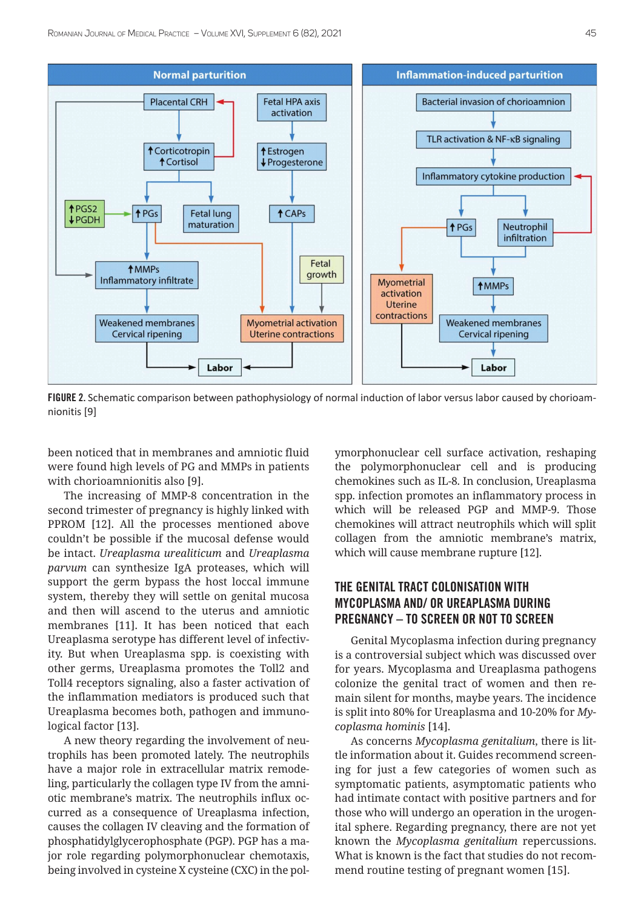

FIGURE 2. Schematic comparison between pathophysiology of normal induction of labor versus labor caused by chorioamnionitis [9]

been noticed that in membranes and amniotic fluid were found high levels of PG and MMPs in patients with chorioamnionitis also [9].

The increasing of MMP-8 concentration in the second trimester of pregnancy is highly linked with PPROM [12]. All the processes mentioned above couldn't be possible if the mucosal defense would be intact. *Ureaplasma urealiticum* and *Ureaplasma parvum* can synthesize IgA proteases, which will support the germ bypass the host loccal immune system, thereby they will settle on genital mucosa and then will ascend to the uterus and amniotic membranes [11]. It has been noticed that each Ureaplasma serotype has different level of infectivity. But when Ureaplasma spp. is coexisting with other germs, Ureaplasma promotes the Toll2 and Toll4 receptors signaling, also a faster activation of the inflammation mediators is produced such that Ureaplasma becomes both, pathogen and immunological factor [13].

A new theory regarding the involvement of neutrophils has been promoted lately. The neutrophils have a major role in extracellular matrix remodeling, particularly the collagen type IV from the amniotic membrane's matrix. The neutrophils influx occurred as a consequence of Ureaplasma infection, causes the collagen IV cleaving and the formation of phosphatidylglycerophosphate (PGP). PGP has a major role regarding polymorphonuclear chemotaxis, being involved in cysteine X cysteine (CXC) in the polymorphonuclear cell surface activation, reshaping the polymorphonuclear cell and is producing chemokines such as IL-8. In conclusion, Ureaplasma spp. infection promotes an inflammatory process in which will be released PGP and MMP-9. Those chemokines will attract neutrophils which will split collagen from the amniotic membrane's matrix, which will cause membrane rupture [12].

# THE GENITAL TRACT COLONISATION WITH MYCOPLASMA AND/ OR UREAPLASMA DURING PREGNANCY – TO SCREEN OR NOT TO SCREEN

Genital Mycoplasma infection during pregnancy is a controversial subject which was discussed over for years. Mycoplasma and Ureaplasma pathogens colonize the genital tract of women and then remain silent for months, maybe years. The incidence is split into 80% for Ureaplasma and 10-20% for *Mycoplasma hominis* [14].

As concerns *Mycoplasma genitalium*, there is little information about it. Guides recommend screening for just a few categories of women such as symptomatic patients, asymptomatic patients who had intimate contact with positive partners and for those who will undergo an operation in the urogenital sphere. Regarding pregnancy, there are not yet known the *Mycoplasma genitalium* repercussions. What is known is the fact that studies do not recommend routine testing of pregnant women [15].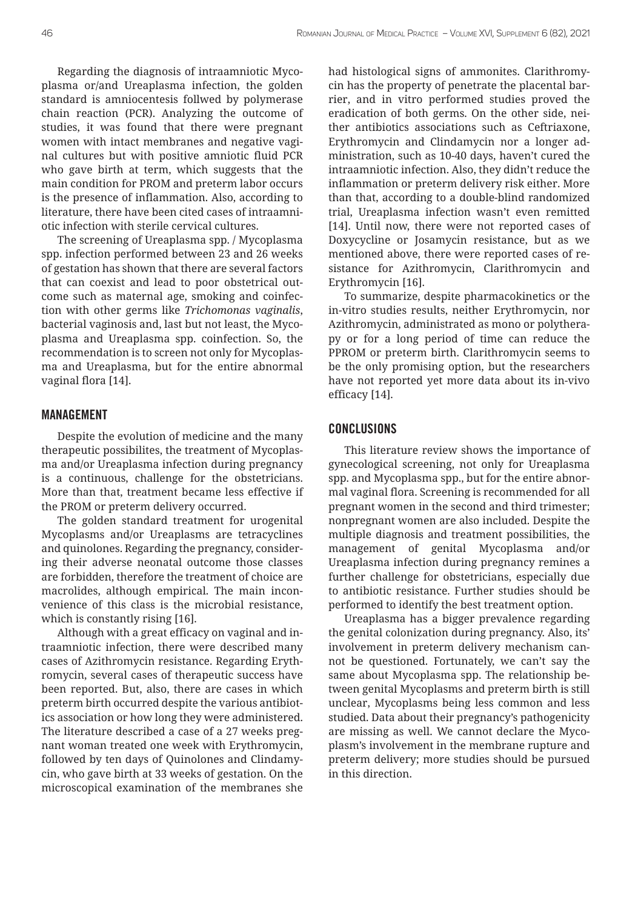Regarding the diagnosis of intraamniotic Mycoplasma or/and Ureaplasma infection, the golden standard is amniocentesis follwed by polymerase chain reaction (PCR). Analyzing the outcome of studies, it was found that there were pregnant women with intact membranes and negative vaginal cultures but with positive amniotic fluid PCR who gave birth at term, which suggests that the main condition for PROM and preterm labor occurs is the presence of inflammation. Also, according to literature, there have been cited cases of intraamniotic infection with sterile cervical cultures.

The screening of Ureaplasma spp. / Mycoplasma spp. infection performed between 23 and 26 weeks of gestation has shown that there are several factors that can coexist and lead to poor obstetrical outcome such as maternal age, smoking and coinfection with other germs like *Trichomonas vaginalis*, bacterial vaginosis and, last but not least, the Mycoplasma and Ureaplasma spp. coinfection. So, the recommendation is to screen not only for Mycoplasma and Ureaplasma, but for the entire abnormal vaginal flora [14].

### MANAGEMENT

Despite the evolution of medicine and the many therapeutic possibilites, the treatment of Mycoplasma and/or Ureaplasma infection during pregnancy is a continuous, challenge for the obstetricians. More than that, treatment became less effective if the PROM or preterm delivery occurred.

The golden standard treatment for urogenital Mycoplasms and/or Ureaplasms are tetracyclines and quinolones. Regarding the pregnancy, considering their adverse neonatal outcome those classes are forbidden, therefore the treatment of choice are macrolides, although empirical. The main inconvenience of this class is the microbial resistance, which is constantly rising [16].

Although with a great efficacy on vaginal and intraamniotic infection, there were described many cases of Azithromycin resistance. Regarding Erythromycin, several cases of therapeutic success have been reported. But, also, there are cases in which preterm birth occurred despite the various antibiotics association or how long they were administered. The literature described a case of a 27 weeks pregnant woman treated one week with Erythromycin, followed by ten days of Quinolones and Clindamycin, who gave birth at 33 weeks of gestation. On the microscopical examination of the membranes she had histological signs of ammonites. Clarithromycin has the property of penetrate the placental barrier, and in vitro performed studies proved the eradication of both germs. On the other side, neither antibiotics associations such as Ceftriaxone, Erythromycin and Clindamycin nor a longer administration, such as 10-40 days, haven't cured the intraamniotic infection. Also, they didn't reduce the inflammation or preterm delivery risk either. More than that, according to a double-blind randomized trial, Ureaplasma infection wasn't even remitted [14]. Until now, there were not reported cases of Doxycycline or Josamycin resistance, but as we mentioned above, there were reported cases of resistance for Azithromycin, Clarithromycin and Erythromycin [16].

To summarize, despite pharmacokinetics or the in-vitro studies results, neither Erythromycin, nor Azithromycin, administrated as mono or polytherapy or for a long period of time can reduce the PPROM or preterm birth. Clarithromycin seems to be the only promising option, but the researchers have not reported yet more data about its in-vivo efficacy [14].

#### CONCLUSIONS

This literature review shows the importance of gynecological screening, not only for Ureaplasma spp. and Mycoplasma spp., but for the entire abnormal vaginal flora. Screening is recommended for all pregnant women in the second and third trimester; nonpregnant women are also included. Despite the multiple diagnosis and treatment possibilities, the management of genital Mycoplasma and/or Ureaplasma infection during pregnancy remines a further challenge for obstetricians, especially due to antibiotic resistance. Further studies should be performed to identify the best treatment option.

Ureaplasma has a bigger prevalence regarding the genital colonization during pregnancy. Also, its' involvement in preterm delivery mechanism cannot be questioned. Fortunately, we can't say the same about Mycoplasma spp. The relationship between genital Mycoplasms and preterm birth is still unclear, Mycoplasms being less common and less studied. Data about their pregnancy's pathogenicity are missing as well. We cannot declare the Mycoplasm's involvement in the membrane rupture and preterm delivery; more studies should be pursued in this direction.

| <b>DIQINOV</b>  | <b>NG60</b> |
|-----------------|-------------|
| <b>IMMIDINO</b> | <b>MAQO</b> |